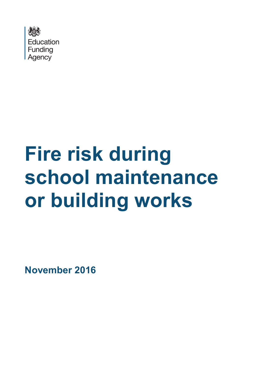

# **Fire risk during school maintenance or building works**

**November 2016**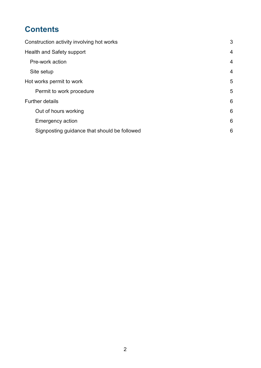# **Contents**

| Construction activity involving hot works    | 3               |
|----------------------------------------------|-----------------|
| Health and Safety support                    | $\overline{4}$  |
| Pre-work action                              | $\overline{4}$  |
| Site setup                                   | $\overline{4}$  |
| Hot works permit to work                     | 5               |
| Permit to work procedure                     | 5               |
| <b>Further details</b>                       | 6               |
| Out of hours working                         | $6\phantom{1}6$ |
| Emergency action                             | 6               |
| Signposting guidance that should be followed | 6               |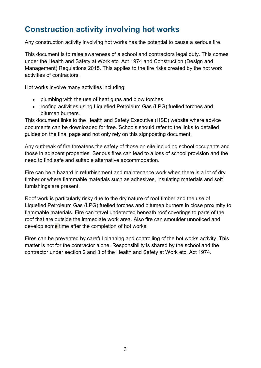## <span id="page-2-0"></span>**Construction activity involving hot works**

Any construction activity involving hot works has the potential to cause a serious fire.

This document is to raise awareness of a school and contractors legal duty. This comes under the Health and Safety at Work etc. Act 1974 and Construction (Design and Management) Regulations 2015. This applies to the fire risks created by the hot work activities of contractors.

Hot works involve many activities including;

- plumbing with the use of heat guns and blow torches
- roofing activities using Liquefied Petroleum Gas (LPG) fuelled torches and bitumen burners.

This document links to the Health and Safety Executive (HSE) website where advice documents can be downloaded for free. Schools should refer to the links to detailed guides on the final page and not only rely on this signposting document.

Any outbreak of fire threatens the safety of those on site including school occupants and those in adjacent properties. Serious fires can lead to a loss of school provision and the need to find safe and suitable alternative accommodation.

Fire can be a hazard in refurbishment and maintenance work when there is a lot of dry timber or where flammable materials such as adhesives, insulating materials and soft furnishings are present.

Roof work is particularly risky due to the dry nature of roof timber and the use of Liquefied Petroleum Gas (LPG) fuelled torches and bitumen burners in close proximity to flammable materials. Fire can travel undetected beneath roof coverings to parts of the roof that are outside the immediate work area. Also fire can smoulder unnoticed and develop some time after the completion of hot works.

Fires can be prevented by careful planning and controlling of the hot works activity. This matter is not for the contractor alone. Responsibility is shared by the school and the contractor under section 2 and 3 of the Health and Safety at Work etc. Act 1974.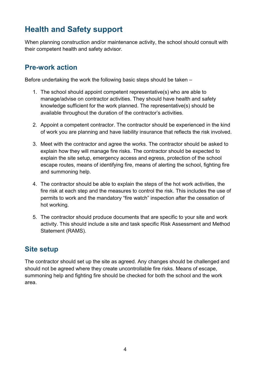# <span id="page-3-0"></span>**Health and Safety support**

When planning construction and/or maintenance activity, the school should consult with their competent health and safety advisor.

## <span id="page-3-1"></span>**Pre-work action**

Before undertaking the work the following basic steps should be taken –

- 1. The school should appoint competent representative(s) who are able to manage/advise on contractor activities. They should have health and safety knowledge sufficient for the work planned. The representative(s) should be available throughout the duration of the contractor's activities.
- 2. Appoint a competent contractor. The contractor should be experienced in the kind of work you are planning and have liability insurance that reflects the risk involved.
- 3. Meet with the contractor and agree the works. The contractor should be asked to explain how they will manage fire risks. The contractor should be expected to explain the site setup, emergency access and egress, protection of the school escape routes, means of identifying fire, means of alerting the school, fighting fire and summoning help.
- 4. The contractor should be able to explain the steps of the hot work activities, the fire risk at each step and the measures to control the risk. This includes the use of permits to work and the mandatory "fire watch" inspection after the cessation of hot working.
- 5. The contractor should produce documents that are specific to your site and work activity. This should include a site and task specific Risk Assessment and Method Statement (RAMS).

## <span id="page-3-2"></span>**Site setup**

The contractor should set up the site as agreed. Any changes should be challenged and should not be agreed where they create uncontrollable fire risks. Means of escape, summoning help and fighting fire should be checked for both the school and the work area.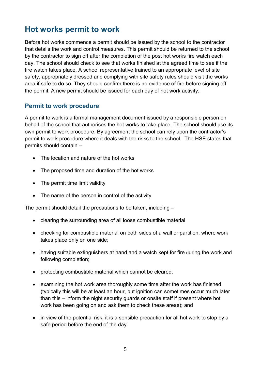## <span id="page-4-0"></span>**Hot works permit to work**

Before hot works commence a permit should be issued by the school to the contractor that details the work and control measures. This permit should be returned to the school by the contractor to sign off after the completion of the post hot works fire watch each day. The school should check to see that works finished at the agreed time to see if the fire watch takes place. A school representative trained to an appropriate level of site safety, appropriately dressed and complying with site safety rules should visit the works area if safe to do so. They should confirm there is no evidence of fire before signing off the permit. A new permit should be issued for each day of hot work activity.

#### <span id="page-4-1"></span>**Permit to work procedure**

A permit to work is a formal management document issued by a responsible person on behalf of the school that authorises the hot works to take place. The school should use its own permit to work procedure. By agreement the school can rely upon the contractor's permit to work procedure where it deals with the risks to the school. The HSE states that permits should contain –

- The location and nature of the hot works
- The proposed time and duration of the hot works
- The permit time limit validity
- The name of the person in control of the activity

The permit should detail the precautions to be taken, including –

- clearing the surrounding area of all loose combustible material
- checking for combustible material on both sides of a wall or partition, where work takes place only on one side;
- having suitable extinguishers at hand and a watch kept for fire during the work and following completion;
- protecting combustible material which cannot be cleared;
- examining the hot work area thoroughly some time after the work has finished (typically this will be at least an hour, but ignition can sometimes occur much later than this – inform the night security guards or onsite staff if present where hot work has been going on and ask them to check these areas); and
- in view of the potential risk, it is a sensible precaution for all hot work to stop by a safe period before the end of the day.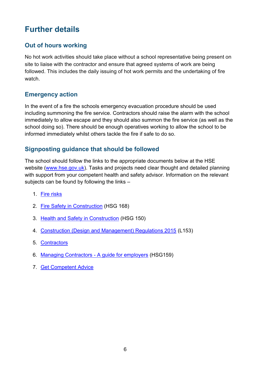# <span id="page-5-0"></span>**Further details**

### <span id="page-5-1"></span>**Out of hours working**

No hot work activities should take place without a school representative being present on site to liaise with the contractor and ensure that agreed systems of work are being followed. This includes the daily issuing of hot work permits and the undertaking of fire watch.

#### <span id="page-5-2"></span>**Emergency action**

In the event of a fire the schools emergency evacuation procedure should be used including summoning the fire service. Contractors should raise the alarm with the school immediately to allow escape and they should also summon the fire service (as well as the school doing so). There should be enough operatives working to allow the school to be informed immediately whilst others tackle the fire if safe to do so.

#### <span id="page-5-3"></span>**Signposting guidance that should be followed**

The school should follow the links to the appropriate documents below at the HSE website [\(www.hse.gov.uk\)](http://www.hse.gov.uk/). Tasks and projects need clear thought and detailed planning with support from your competent health and safety advisor. Information on the relevant subjects can be found by following the links –

- 1. [Fire risks](http://www.hse.gov.uk/construction/safetytopics/processfire.htm)
- 2. [Fire Safety in Construction](http://www.hse.gov.uk/pubns/books/hsg168.htm) (HSG 168)
- 3. [Health and Safety in Construction](http://www.hse.gov.uk/pubns/books/hsg150.htm) (HSG 150)
- 4. [Construction \(Design and Management\) Regulations 2015](http://www.hse.gov.uk/pubns/books/l153.htm) (L153)
- 5. [Contractors](http://www.hse.gov.uk/toolbox/workers/contractors.htm)
- 6. [Managing Contractors -](http://www.hse.gov.uk/pubns/books/hsg159.htm) A guide for employers (HSG159)
- 7. [Get Competent Advice](http://www.hse.gov.uk/business/competent-advice.htm)